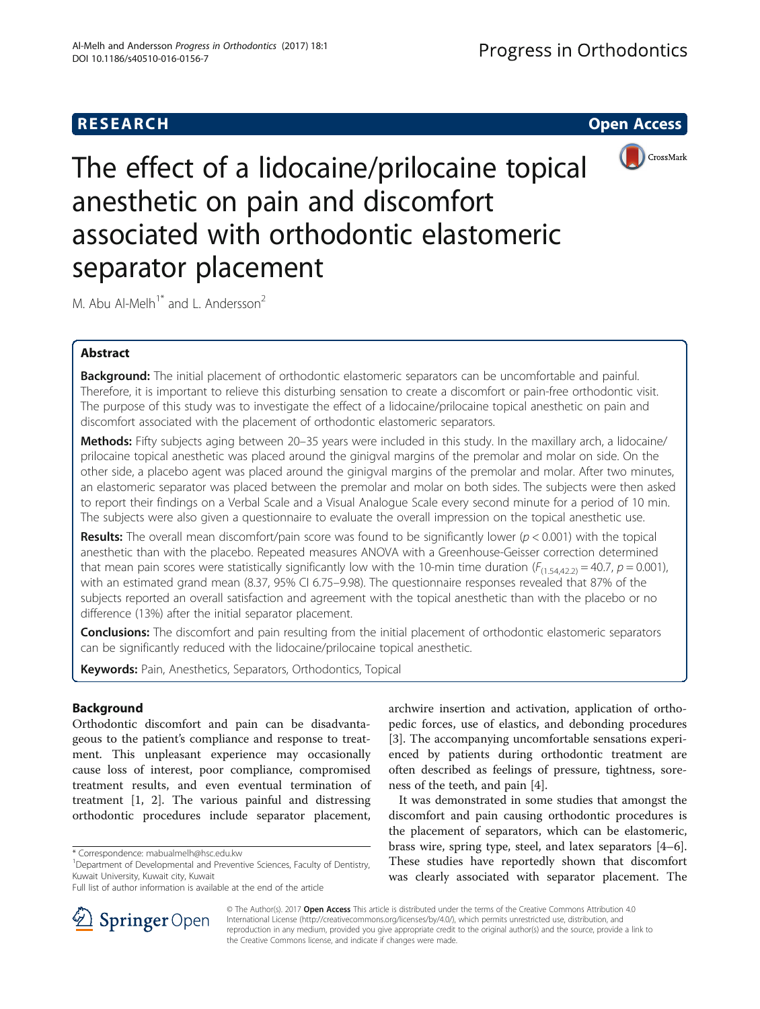# **RESEARCH CHE Open Access**



The effect of a lidocaine/prilocaine topical anesthetic on pain and discomfort associated with orthodontic elastomeric separator placement

M. Abu Al-Melh<sup>1\*</sup> and L. Andersson<sup>2</sup>

# Abstract

Background: The initial placement of orthodontic elastomeric separators can be uncomfortable and painful. Therefore, it is important to relieve this disturbing sensation to create a discomfort or pain-free orthodontic visit. The purpose of this study was to investigate the effect of a lidocaine/prilocaine topical anesthetic on pain and discomfort associated with the placement of orthodontic elastomeric separators.

Methods: Fifty subjects aging between 20-35 years were included in this study. In the maxillary arch, a lidocaine/ prilocaine topical anesthetic was placed around the ginigval margins of the premolar and molar on side. On the other side, a placebo agent was placed around the ginigval margins of the premolar and molar. After two minutes, an elastomeric separator was placed between the premolar and molar on both sides. The subjects were then asked to report their findings on a Verbal Scale and a Visual Analogue Scale every second minute for a period of 10 min. The subjects were also given a questionnaire to evaluate the overall impression on the topical anesthetic use.

**Results:** The overall mean discomfort/pain score was found to be significantly lower ( $p < 0.001$ ) with the topical anesthetic than with the placebo. Repeated measures ANOVA with a Greenhouse-Geisser correction determined that mean pain scores were statistically significantly low with the 10-min time duration  $(F_{(1,54,42,2)} = 40.7, p = 0.001)$ , with an estimated grand mean (8.37, 95% CI 6.75–9.98). The questionnaire responses revealed that 87% of the subjects reported an overall satisfaction and agreement with the topical anesthetic than with the placebo or no difference (13%) after the initial separator placement.

Conclusions: The discomfort and pain resulting from the initial placement of orthodontic elastomeric separators can be significantly reduced with the lidocaine/prilocaine topical anesthetic.

Keywords: Pain, Anesthetics, Separators, Orthodontics, Topical

## Background

Orthodontic discomfort and pain can be disadvantageous to the patient's compliance and response to treatment. This unpleasant experience may occasionally cause loss of interest, poor compliance, compromised treatment results, and even eventual termination of treatment [[1, 2\]](#page-8-0). The various painful and distressing orthodontic procedures include separator placement,

archwire insertion and activation, application of orthopedic forces, use of elastics, and debonding procedures [[3\]](#page-8-0). The accompanying uncomfortable sensations experienced by patients during orthodontic treatment are often described as feelings of pressure, tightness, soreness of the teeth, and pain [\[4\]](#page-8-0).

It was demonstrated in some studies that amongst the discomfort and pain causing orthodontic procedures is the placement of separators, which can be elastomeric, brass wire, spring type, steel, and latex separators [\[4](#page-8-0)–[6](#page-8-0)]. These studies have reportedly shown that discomfort was clearly associated with separator placement. The



© The Author(s). 2017 Open Access This article is distributed under the terms of the Creative Commons Attribution 4.0 International License ([http://creativecommons.org/licenses/by/4.0/\)](http://creativecommons.org/licenses/by/4.0/), which permits unrestricted use, distribution, and reproduction in any medium, provided you give appropriate credit to the original author(s) and the source, provide a link to the Creative Commons license, and indicate if changes were made.

<sup>\*</sup> Correspondence: [mabualmelh@hsc.edu.kw](mailto:mabualmelh@hsc.edu.kw) <sup>1</sup>

<sup>&</sup>lt;sup>1</sup>Department of Developmental and Preventive Sciences, Faculty of Dentistry, Kuwait University, Kuwait city, Kuwait

Full list of author information is available at the end of the article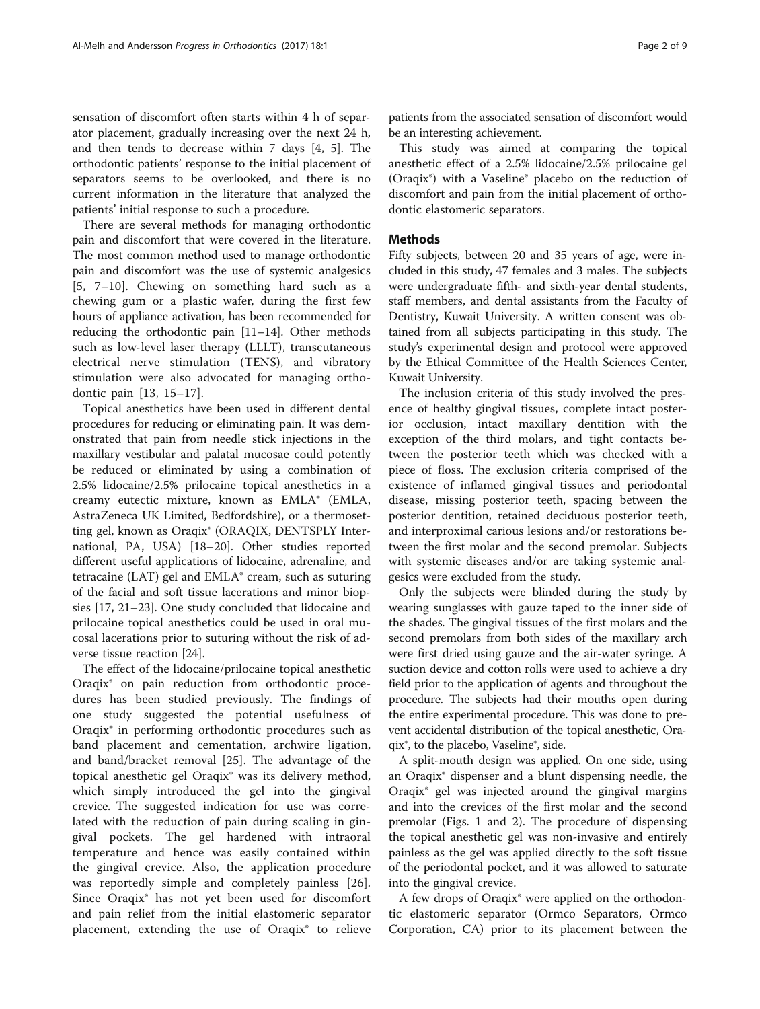sensation of discomfort often starts within 4 h of separator placement, gradually increasing over the next 24 h, and then tends to decrease within 7 days [\[4, 5](#page-8-0)]. The orthodontic patients' response to the initial placement of separators seems to be overlooked, and there is no current information in the literature that analyzed the patients' initial response to such a procedure.

There are several methods for managing orthodontic pain and discomfort that were covered in the literature. The most common method used to manage orthodontic pain and discomfort was the use of systemic analgesics [[5, 7](#page-8-0)–[10](#page-8-0)]. Chewing on something hard such as a chewing gum or a plastic wafer, during the first few hours of appliance activation, has been recommended for reducing the orthodontic pain [[11](#page-8-0)–[14\]](#page-8-0). Other methods such as low-level laser therapy (LLLT), transcutaneous electrical nerve stimulation (TENS), and vibratory stimulation were also advocated for managing orthodontic pain [\[13](#page-8-0), [15](#page-8-0)–[17](#page-8-0)].

Topical anesthetics have been used in different dental procedures for reducing or eliminating pain. It was demonstrated that pain from needle stick injections in the maxillary vestibular and palatal mucosae could potently be reduced or eliminated by using a combination of 2.5% lidocaine/2.5% prilocaine topical anesthetics in a creamy eutectic mixture, known as EMLA® (EMLA, AstraZeneca UK Limited, Bedfordshire), or a thermosetting gel, known as Oraqix® (ORAQIX, DENTSPLY International, PA, USA) [\[18](#page-8-0)–[20\]](#page-8-0). Other studies reported different useful applications of lidocaine, adrenaline, and tetracaine (LAT) gel and EMLA® cream, such as suturing of the facial and soft tissue lacerations and minor biopsies [\[17](#page-8-0), [21](#page-8-0)–[23\]](#page-8-0). One study concluded that lidocaine and prilocaine topical anesthetics could be used in oral mucosal lacerations prior to suturing without the risk of adverse tissue reaction [[24](#page-8-0)].

The effect of the lidocaine/prilocaine topical anesthetic Oraqix® on pain reduction from orthodontic procedures has been studied previously. The findings of one study suggested the potential usefulness of Oraqix® in performing orthodontic procedures such as band placement and cementation, archwire ligation, and band/bracket removal [\[25](#page-8-0)]. The advantage of the topical anesthetic gel Oraqix® was its delivery method, which simply introduced the gel into the gingival crevice. The suggested indication for use was correlated with the reduction of pain during scaling in gingival pockets. The gel hardened with intraoral temperature and hence was easily contained within the gingival crevice. Also, the application procedure was reportedly simple and completely painless [\[26](#page-8-0)]. Since Oraqix® has not yet been used for discomfort and pain relief from the initial elastomeric separator placement, extending the use of Oraqix® to relieve

patients from the associated sensation of discomfort would be an interesting achievement.

This study was aimed at comparing the topical anesthetic effect of a 2.5% lidocaine/2.5% prilocaine gel (Oraqix®) with a Vaseline® placebo on the reduction of discomfort and pain from the initial placement of orthodontic elastomeric separators.

### Methods

Fifty subjects, between 20 and 35 years of age, were included in this study, 47 females and 3 males. The subjects were undergraduate fifth- and sixth-year dental students, staff members, and dental assistants from the Faculty of Dentistry, Kuwait University. A written consent was obtained from all subjects participating in this study. The study's experimental design and protocol were approved by the Ethical Committee of the Health Sciences Center, Kuwait University.

The inclusion criteria of this study involved the presence of healthy gingival tissues, complete intact posterior occlusion, intact maxillary dentition with the exception of the third molars, and tight contacts between the posterior teeth which was checked with a piece of floss. The exclusion criteria comprised of the existence of inflamed gingival tissues and periodontal disease, missing posterior teeth, spacing between the posterior dentition, retained deciduous posterior teeth, and interproximal carious lesions and/or restorations between the first molar and the second premolar. Subjects with systemic diseases and/or are taking systemic analgesics were excluded from the study.

Only the subjects were blinded during the study by wearing sunglasses with gauze taped to the inner side of the shades. The gingival tissues of the first molars and the second premolars from both sides of the maxillary arch were first dried using gauze and the air-water syringe. A suction device and cotton rolls were used to achieve a dry field prior to the application of agents and throughout the procedure. The subjects had their mouths open during the entire experimental procedure. This was done to prevent accidental distribution of the topical anesthetic, Oraqix®, to the placebo, Vaseline®, side.

A split-mouth design was applied. On one side, using an Oraqix® dispenser and a blunt dispensing needle, the Oraqix® gel was injected around the gingival margins and into the crevices of the first molar and the second premolar (Figs. [1](#page-2-0) and [2](#page-2-0)). The procedure of dispensing the topical anesthetic gel was non-invasive and entirely painless as the gel was applied directly to the soft tissue of the periodontal pocket, and it was allowed to saturate into the gingival crevice.

A few drops of Oraqix® were applied on the orthodontic elastomeric separator (Ormco Separators, Ormco Corporation, CA) prior to its placement between the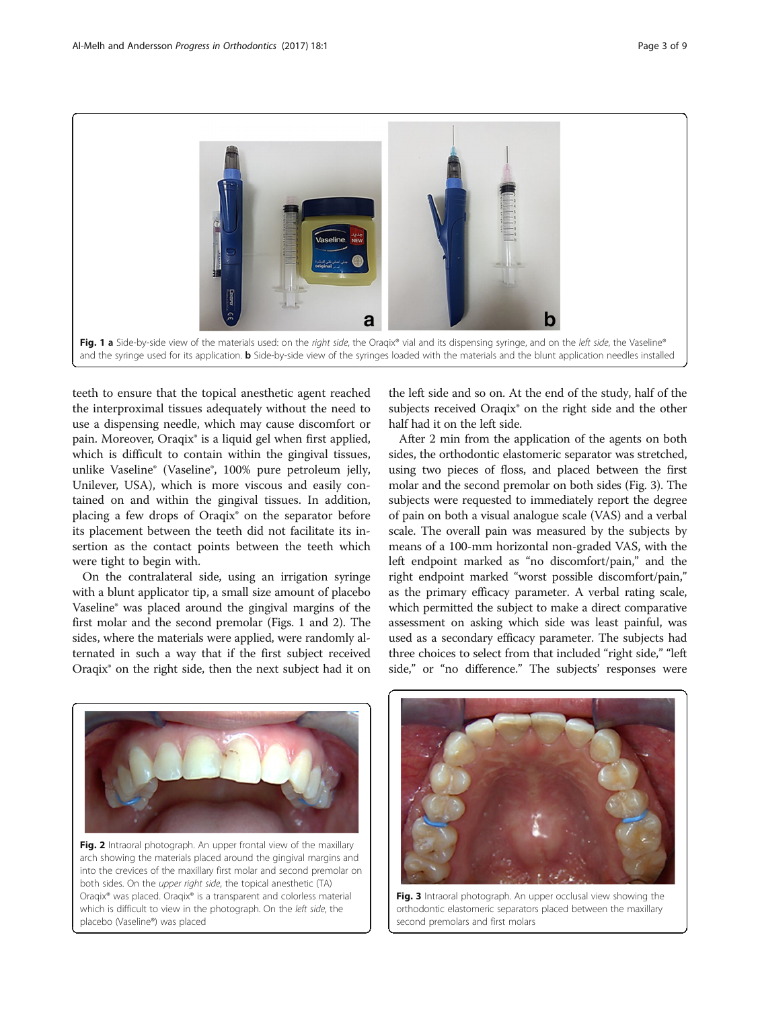<span id="page-2-0"></span>

teeth to ensure that the topical anesthetic agent reached the interproximal tissues adequately without the need to use a dispensing needle, which may cause discomfort or pain. Moreover, Oraqix® is a liquid gel when first applied, which is difficult to contain within the gingival tissues, unlike Vaseline® (Vaseline®, 100% pure petroleum jelly, Unilever, USA), which is more viscous and easily contained on and within the gingival tissues. In addition, placing a few drops of Oraqix® on the separator before its placement between the teeth did not facilitate its insertion as the contact points between the teeth which were tight to begin with.

On the contralateral side, using an irrigation syringe with a blunt applicator tip, a small size amount of placebo Vaseline® was placed around the gingival margins of the first molar and the second premolar (Figs. 1 and 2). The sides, where the materials were applied, were randomly alternated in such a way that if the first subject received Oraqix® on the right side, then the next subject had it on

the left side and so on. At the end of the study, half of the subjects received Oraqix® on the right side and the other half had it on the left side.

After 2 min from the application of the agents on both sides, the orthodontic elastomeric separator was stretched, using two pieces of floss, and placed between the first molar and the second premolar on both sides (Fig. 3). The subjects were requested to immediately report the degree of pain on both a visual analogue scale (VAS) and a verbal scale. The overall pain was measured by the subjects by means of a 100-mm horizontal non-graded VAS, with the left endpoint marked as "no discomfort/pain," and the right endpoint marked "worst possible discomfort/pain," as the primary efficacy parameter. A verbal rating scale, which permitted the subject to make a direct comparative assessment on asking which side was least painful, was used as a secondary efficacy parameter. The subjects had three choices to select from that included "right side," "left side," or "no difference." The subjects' responses were



Fig. 2 Intraoral photograph. An upper frontal view of the maxillary arch showing the materials placed around the gingival margins and into the crevices of the maxillary first molar and second premolar on both sides. On the upper right side, the topical anesthetic (TA) Oraqix® was placed. Oraqix® is a transparent and colorless material which is difficult to view in the photograph. On the left side, the placebo (Vaseline®) was placed



Fig. 3 Intraoral photograph. An upper occlusal view showing the orthodontic elastomeric separators placed between the maxillary second premolars and first molars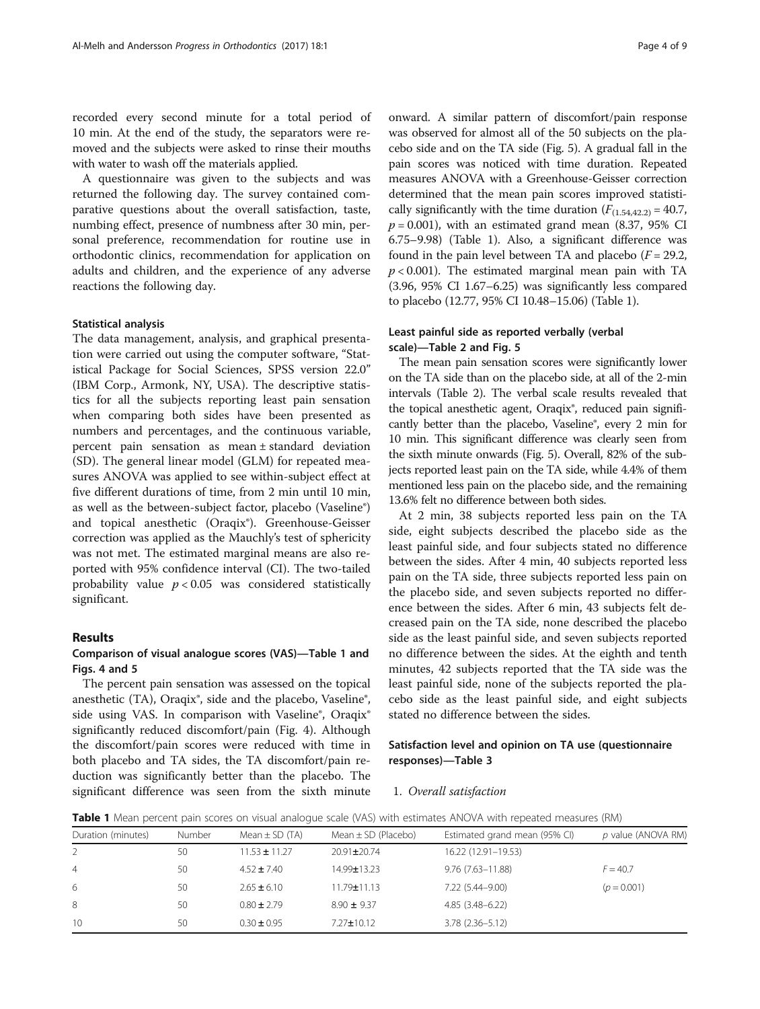<span id="page-3-0"></span>recorded every second minute for a total period of 10 min. At the end of the study, the separators were removed and the subjects were asked to rinse their mouths with water to wash off the materials applied.

A questionnaire was given to the subjects and was returned the following day. The survey contained comparative questions about the overall satisfaction, taste, numbing effect, presence of numbness after 30 min, personal preference, recommendation for routine use in orthodontic clinics, recommendation for application on adults and children, and the experience of any adverse reactions the following day.

#### Statistical analysis

The data management, analysis, and graphical presentation were carried out using the computer software, "Statistical Package for Social Sciences, SPSS version 22.0" (IBM Corp., Armonk, NY, USA). The descriptive statistics for all the subjects reporting least pain sensation when comparing both sides have been presented as numbers and percentages, and the continuous variable, percent pain sensation as mean ± standard deviation (SD). The general linear model (GLM) for repeated measures ANOVA was applied to see within-subject effect at five different durations of time, from 2 min until 10 min, as well as the between-subject factor, placebo (Vaseline®) and topical anesthetic (Oraqix®). Greenhouse-Geisser correction was applied as the Mauchly's test of sphericity was not met. The estimated marginal means are also reported with 95% confidence interval (CI). The two-tailed probability value  $p < 0.05$  was considered statistically significant.

#### Results

## Comparison of visual analogue scores (VAS)—Table 1 and Figs. [4](#page-4-0) and [5](#page-5-0)

The percent pain sensation was assessed on the topical anesthetic (TA), Oraqix®, side and the placebo, Vaseline®, side using VAS. In comparison with Vaseline®, Oraqix® significantly reduced discomfort/pain (Fig. [4\)](#page-4-0). Although the discomfort/pain scores were reduced with time in both placebo and TA sides, the TA discomfort/pain reduction was significantly better than the placebo. The significant difference was seen from the sixth minute onward. A similar pattern of discomfort/pain response was observed for almost all of the 50 subjects on the placebo side and on the TA side (Fig. [5\)](#page-5-0). A gradual fall in the pain scores was noticed with time duration. Repeated measures ANOVA with a Greenhouse-Geisser correction determined that the mean pain scores improved statistically significantly with the time duration  $(F_{(1.54,42,2)} = 40.7$ ,  $p = 0.001$ ), with an estimated grand mean (8.37, 95% CI 6.75–9.98) (Table 1). Also, a significant difference was found in the pain level between TA and placebo  $(F = 29.2,$  $p < 0.001$ ). The estimated marginal mean pain with TA (3.96, 95% CI 1.67–6.25) was significantly less compared to placebo (12.77, 95% CI 10.48–15.06) (Table 1).

## Least painful side as reported verbally (verbal scale)—Table [2](#page-5-0) and Fig. [5](#page-5-0)

The mean pain sensation scores were significantly lower on the TA side than on the placebo side, at all of the 2-min intervals (Table [2\)](#page-5-0). The verbal scale results revealed that the topical anesthetic agent, Oraqix®, reduced pain significantly better than the placebo, Vaseline®, every 2 min for 10 min. This significant difference was clearly seen from the sixth minute onwards (Fig. [5](#page-5-0)). Overall, 82% of the subjects reported least pain on the TA side, while 4.4% of them mentioned less pain on the placebo side, and the remaining 13.6% felt no difference between both sides.

At 2 min, 38 subjects reported less pain on the TA side, eight subjects described the placebo side as the least painful side, and four subjects stated no difference between the sides. After 4 min, 40 subjects reported less pain on the TA side, three subjects reported less pain on the placebo side, and seven subjects reported no difference between the sides. After 6 min, 43 subjects felt decreased pain on the TA side, none described the placebo side as the least painful side, and seven subjects reported no difference between the sides. At the eighth and tenth minutes, 42 subjects reported that the TA side was the least painful side, none of the subjects reported the placebo side as the least painful side, and eight subjects stated no difference between the sides.

## Satisfaction level and opinion on TA use (questionnaire responses)—Table [3](#page-6-0)

#### 1. Overall satisfaction

Table 1 Mean percent pain scores on visual analogue scale (VAS) with estimates ANOVA with repeated measures (RM)

| Duration (minutes) | Number | Mean $\pm$ SD (TA) | Mean $\pm$ SD (Placebo) | Estimated grand mean (95% CI) | p value (ANOVA RM) |
|--------------------|--------|--------------------|-------------------------|-------------------------------|--------------------|
|                    | 50     | $11.53 \pm 11.27$  | 20.91±20.74             | 16.22 (12.91-19.53)           |                    |
| 4                  | 50     | $4.52 \pm 7.40$    | 14.99±13.23             | $9.76(7.63 - 11.88)$          | $F = 40.7$         |
| 6                  | 50     | $2.65 \pm 6.10$    | $11.79 \pm 11.13$       | 7.22 (5.44-9.00)              | $(p = 0.001)$      |
| 8                  | 50     | $0.80 \pm 2.79$    | $8.90 \pm 9.37$         | $4.85(3.48 - 6.22)$           |                    |
| 10                 | 50     | $0.30 \pm 0.95$    | $7.27 \pm 10.12$        | $3.78(2.36 - 5.12)$           |                    |
|                    |        |                    |                         |                               |                    |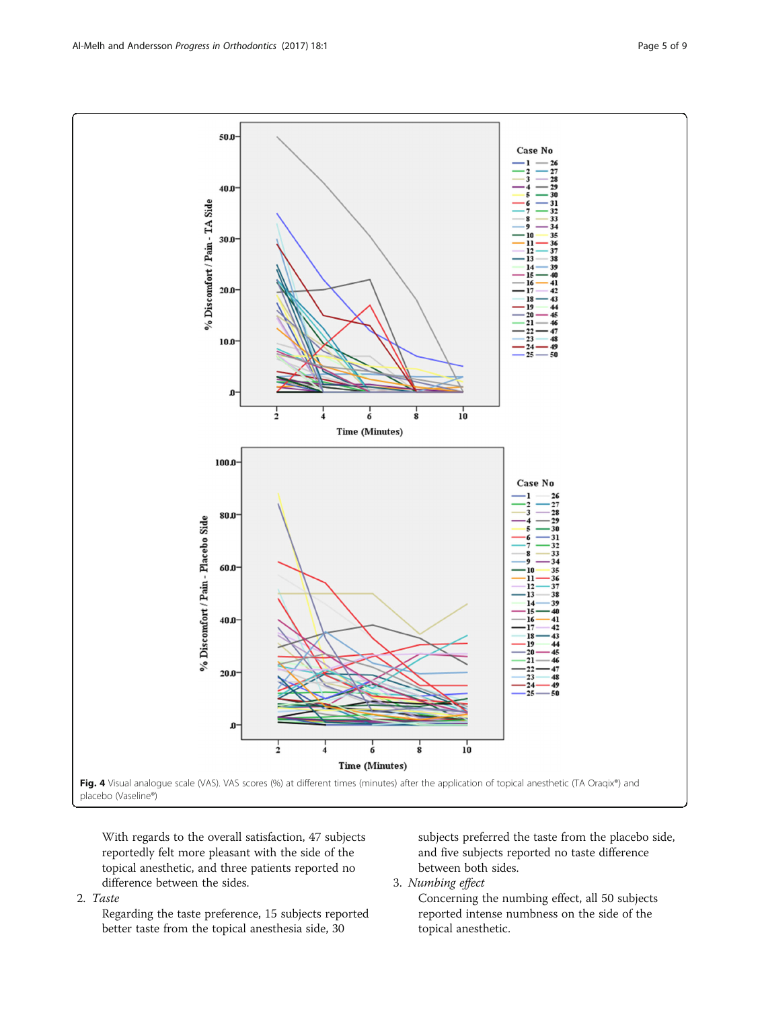<span id="page-4-0"></span>

With regards to the overall satisfaction, 47 subjects reportedly felt more pleasant with the side of the topical anesthetic, and three patients reported no difference between the sides.

2. Taste

Regarding the taste preference, 15 subjects reported better taste from the topical anesthesia side, 30

subjects preferred the taste from the placebo side, and five subjects reported no taste difference between both sides.

3. Numbing effect

Concerning the numbing effect, all 50 subjects reported intense numbness on the side of the topical anesthetic.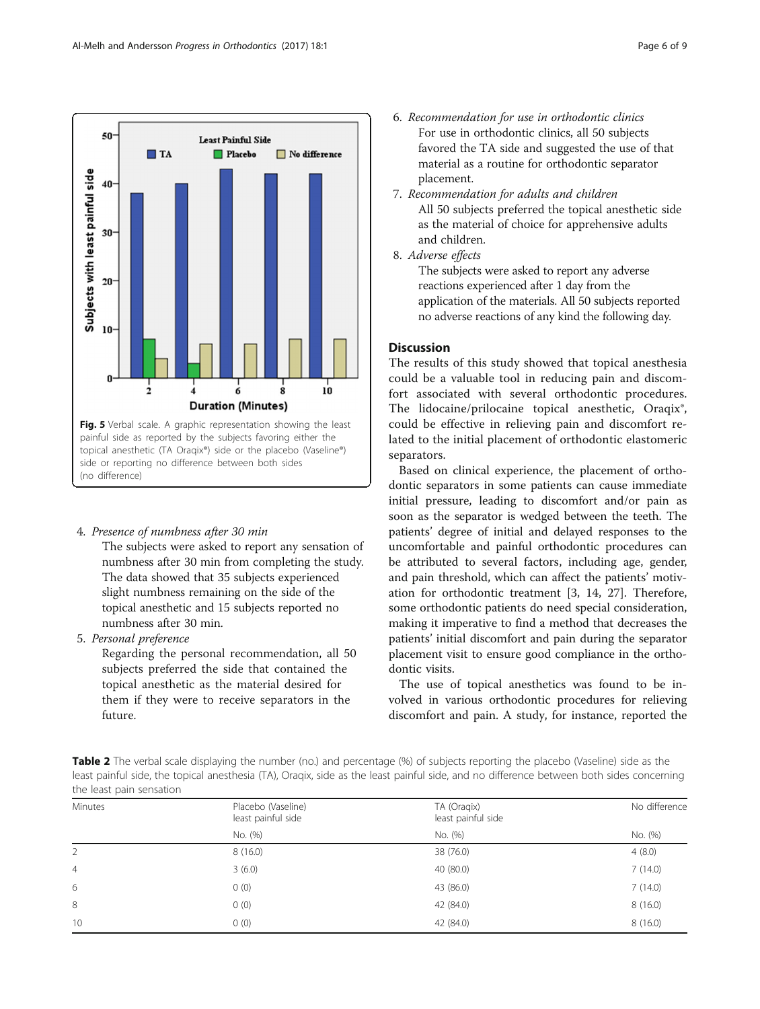<span id="page-5-0"></span>

4. Presence of numbness after 30 min

The subjects were asked to report any sensation of numbness after 30 min from completing the study. The data showed that 35 subjects experienced slight numbness remaining on the side of the topical anesthetic and 15 subjects reported no numbness after 30 min.

5. Personal preference

Regarding the personal recommendation, all 50 subjects preferred the side that contained the topical anesthetic as the material desired for them if they were to receive separators in the future.

- 7. Recommendation for adults and children All 50 subjects preferred the topical anesthetic side as the material of choice for apprehensive adults and children.
- 8. Adverse effects

The subjects were asked to report any adverse reactions experienced after 1 day from the application of the materials. All 50 subjects reported no adverse reactions of any kind the following day.

## **Discussion**

The results of this study showed that topical anesthesia could be a valuable tool in reducing pain and discomfort associated with several orthodontic procedures. The lidocaine/prilocaine topical anesthetic, Oraqix®, could be effective in relieving pain and discomfort related to the initial placement of orthodontic elastomeric separators.

Based on clinical experience, the placement of orthodontic separators in some patients can cause immediate initial pressure, leading to discomfort and/or pain as soon as the separator is wedged between the teeth. The patients' degree of initial and delayed responses to the uncomfortable and painful orthodontic procedures can be attributed to several factors, including age, gender, and pain threshold, which can affect the patients' motivation for orthodontic treatment [[3, 14](#page-8-0), [27](#page-8-0)]. Therefore, some orthodontic patients do need special consideration, making it imperative to find a method that decreases the patients' initial discomfort and pain during the separator placement visit to ensure good compliance in the orthodontic visits.

The use of topical anesthetics was found to be involved in various orthodontic procedures for relieving discomfort and pain. A study, for instance, reported the

Table 2 The verbal scale displaying the number (no.) and percentage (%) of subjects reporting the placebo (Vaseline) side as the least painful side, the topical anesthesia (TA), Oraqix, side as the least painful side, and no difference between both sides concerning the least pain sensation

| Minutes        | Placebo (Vaseline) | TA (Oragix)        | No difference |  |
|----------------|--------------------|--------------------|---------------|--|
|                | least painful side | least painful side |               |  |
|                | No. (%)            | No. (%)            | No. (%)       |  |
| 2              | 8(16.0)            | 38 (76.0)          | 4(8.0)        |  |
| $\overline{4}$ | 3(6.0)             | 40 (80.0)          | 7(14.0)       |  |
| 6              | 0(0)               | 43 (86.0)          | 7(14.0)       |  |
| 8              | 0(0)               | 42 (84.0)          | 8(16.0)       |  |
| 10             | 0(0)               | 42 (84.0)          | 8(16.0)       |  |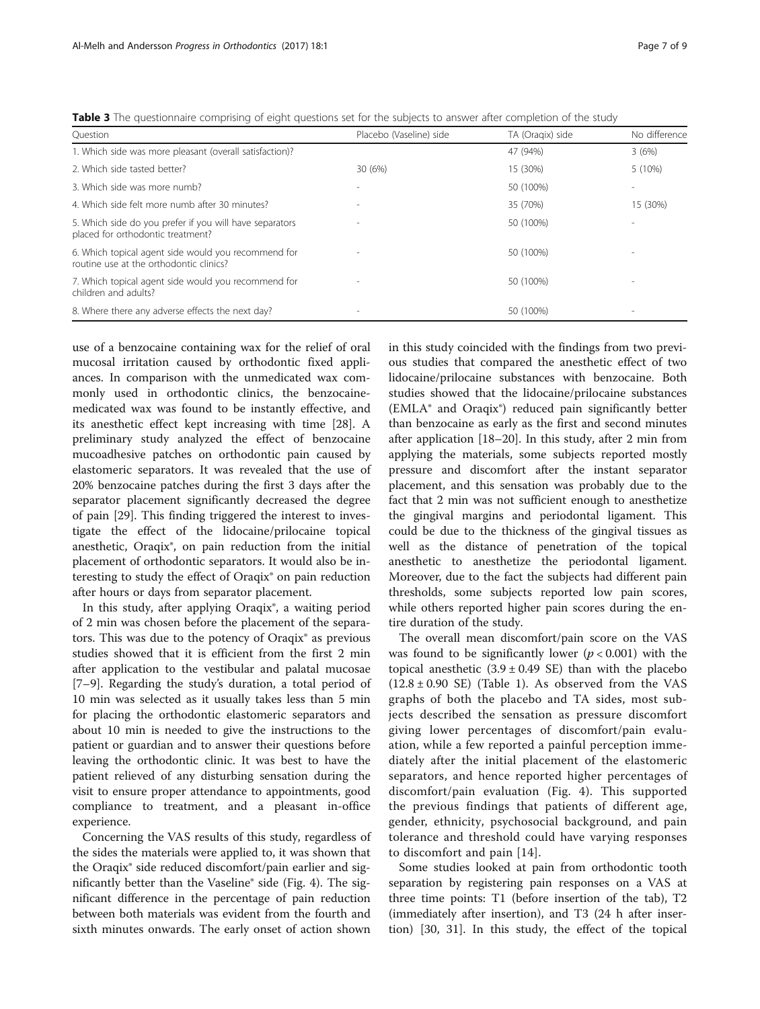<span id="page-6-0"></span>

|  |  |  | Table 3 The questionnaire comprising of eight questions set for the subjects to answer after completion of the study |  |  |
|--|--|--|----------------------------------------------------------------------------------------------------------------------|--|--|
|  |  |  |                                                                                                                      |  |  |

| Ouestion                                                                                       | Placebo (Vaseline) side | TA (Oragix) side | No difference |
|------------------------------------------------------------------------------------------------|-------------------------|------------------|---------------|
| 1. Which side was more pleasant (overall satisfaction)?                                        |                         | 47 (94%)         | 3(6%)         |
| 2. Which side tasted better?                                                                   | 30 (6%)                 | 15 (30%)         | 5 (10%)       |
| 3. Which side was more numb?                                                                   |                         | 50 (100%)        |               |
| 4. Which side felt more numb after 30 minutes?                                                 |                         | 35 (70%)         | 15 (30%)      |
| 5. Which side do you prefer if you will have separators<br>placed for orthodontic treatment?   |                         | 50 (100%)        |               |
| 6. Which topical agent side would you recommend for<br>routine use at the orthodontic clinics? |                         | 50 (100%)        |               |
| 7. Which topical agent side would you recommend for<br>children and adults?                    |                         | 50 (100%)        |               |
| 8. Where there any adverse effects the next day?                                               |                         | 50 (100%)        |               |

use of a benzocaine containing wax for the relief of oral mucosal irritation caused by orthodontic fixed appliances. In comparison with the unmedicated wax commonly used in orthodontic clinics, the benzocainemedicated wax was found to be instantly effective, and its anesthetic effect kept increasing with time [\[28](#page-8-0)]. A preliminary study analyzed the effect of benzocaine mucoadhesive patches on orthodontic pain caused by elastomeric separators. It was revealed that the use of 20% benzocaine patches during the first 3 days after the separator placement significantly decreased the degree of pain [\[29](#page-8-0)]. This finding triggered the interest to investigate the effect of the lidocaine/prilocaine topical anesthetic, Oraqix®, on pain reduction from the initial placement of orthodontic separators. It would also be interesting to study the effect of Oraqix® on pain reduction after hours or days from separator placement.

In this study, after applying Oraqix®, a waiting period of 2 min was chosen before the placement of the separators. This was due to the potency of Oraqix® as previous studies showed that it is efficient from the first 2 min after application to the vestibular and palatal mucosae [[7](#page-8-0)–[9\]](#page-8-0). Regarding the study's duration, a total period of 10 min was selected as it usually takes less than 5 min for placing the orthodontic elastomeric separators and about 10 min is needed to give the instructions to the patient or guardian and to answer their questions before leaving the orthodontic clinic. It was best to have the patient relieved of any disturbing sensation during the visit to ensure proper attendance to appointments, good compliance to treatment, and a pleasant in-office experience.

Concerning the VAS results of this study, regardless of the sides the materials were applied to, it was shown that the Oraqix® side reduced discomfort/pain earlier and significantly better than the Vaseline® side (Fig. [4\)](#page-4-0). The significant difference in the percentage of pain reduction between both materials was evident from the fourth and sixth minutes onwards. The early onset of action shown in this study coincided with the findings from two previous studies that compared the anesthetic effect of two lidocaine/prilocaine substances with benzocaine. Both studies showed that the lidocaine/prilocaine substances (EMLA® and Oraqix®) reduced pain significantly better than benzocaine as early as the first and second minutes after application [[18](#page-8-0)–[20](#page-8-0)]. In this study, after 2 min from applying the materials, some subjects reported mostly pressure and discomfort after the instant separator placement, and this sensation was probably due to the fact that 2 min was not sufficient enough to anesthetize the gingival margins and periodontal ligament. This could be due to the thickness of the gingival tissues as well as the distance of penetration of the topical anesthetic to anesthetize the periodontal ligament. Moreover, due to the fact the subjects had different pain thresholds, some subjects reported low pain scores, while others reported higher pain scores during the entire duration of the study.

The overall mean discomfort/pain score on the VAS was found to be significantly lower  $(p < 0.001)$  with the topical anesthetic  $(3.9 \pm 0.49 \text{ SE})$  than with the placebo  $(12.8 \pm 0.90 \text{ SE})$  (Table [1](#page-3-0)). As observed from the VAS graphs of both the placebo and TA sides, most subjects described the sensation as pressure discomfort giving lower percentages of discomfort/pain evaluation, while a few reported a painful perception immediately after the initial placement of the elastomeric separators, and hence reported higher percentages of discomfort/pain evaluation (Fig. [4](#page-4-0)). This supported the previous findings that patients of different age, gender, ethnicity, psychosocial background, and pain tolerance and threshold could have varying responses to discomfort and pain [\[14\]](#page-8-0).

Some studies looked at pain from orthodontic tooth separation by registering pain responses on a VAS at three time points: T1 (before insertion of the tab), T2 (immediately after insertion), and T3 (24 h after insertion) [[30](#page-8-0), [31\]](#page-8-0). In this study, the effect of the topical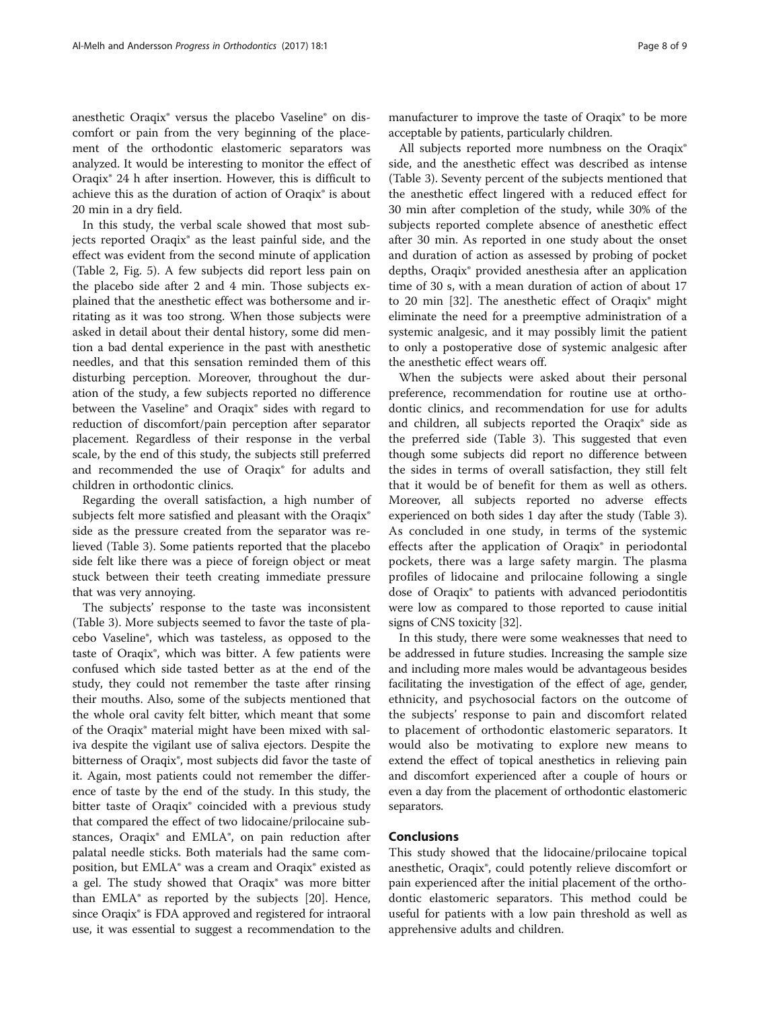anesthetic Oraqix® versus the placebo Vaseline® on discomfort or pain from the very beginning of the placement of the orthodontic elastomeric separators was analyzed. It would be interesting to monitor the effect of Oraqix® 24 h after insertion. However, this is difficult to achieve this as the duration of action of Oraqix® is about 20 min in a dry field.

In this study, the verbal scale showed that most subjects reported Oraqix® as the least painful side, and the effect was evident from the second minute of application (Table [2,](#page-5-0) Fig. [5](#page-5-0)). A few subjects did report less pain on the placebo side after 2 and 4 min. Those subjects explained that the anesthetic effect was bothersome and irritating as it was too strong. When those subjects were asked in detail about their dental history, some did mention a bad dental experience in the past with anesthetic needles, and that this sensation reminded them of this disturbing perception. Moreover, throughout the duration of the study, a few subjects reported no difference between the Vaseline® and Oraqix® sides with regard to reduction of discomfort/pain perception after separator placement. Regardless of their response in the verbal scale, by the end of this study, the subjects still preferred and recommended the use of Oraqix® for adults and children in orthodontic clinics.

Regarding the overall satisfaction, a high number of subjects felt more satisfied and pleasant with the Oraqix® side as the pressure created from the separator was relieved (Table [3\)](#page-6-0). Some patients reported that the placebo side felt like there was a piece of foreign object or meat stuck between their teeth creating immediate pressure that was very annoying.

The subjects' response to the taste was inconsistent (Table [3\)](#page-6-0). More subjects seemed to favor the taste of placebo Vaseline®, which was tasteless, as opposed to the taste of Oraqix®, which was bitter. A few patients were confused which side tasted better as at the end of the study, they could not remember the taste after rinsing their mouths. Also, some of the subjects mentioned that the whole oral cavity felt bitter, which meant that some of the Oraqix® material might have been mixed with saliva despite the vigilant use of saliva ejectors. Despite the bitterness of Oraqix®, most subjects did favor the taste of it. Again, most patients could not remember the difference of taste by the end of the study. In this study, the bitter taste of Oraqix® coincided with a previous study that compared the effect of two lidocaine/prilocaine substances, Oraqix® and EMLA®, on pain reduction after palatal needle sticks. Both materials had the same composition, but EMLA® was a cream and Oraqix® existed as a gel. The study showed that Oraqix® was more bitter than  $EMLA<sup>o</sup>$  as reported by the subjects [\[20\]](#page-8-0). Hence, since Oraqix<sup>®</sup> is FDA approved and registered for intraoral use, it was essential to suggest a recommendation to the

manufacturer to improve the taste of Oraqix® to be more acceptable by patients, particularly children.

All subjects reported more numbness on the Oraqix® side, and the anesthetic effect was described as intense (Table [3\)](#page-6-0). Seventy percent of the subjects mentioned that the anesthetic effect lingered with a reduced effect for 30 min after completion of the study, while 30% of the subjects reported complete absence of anesthetic effect after 30 min. As reported in one study about the onset and duration of action as assessed by probing of pocket depths, Oraqix® provided anesthesia after an application time of 30 s, with a mean duration of action of about 17 to 20 min [\[32\]](#page-8-0). The anesthetic effect of Oraqix® might eliminate the need for a preemptive administration of a systemic analgesic, and it may possibly limit the patient to only a postoperative dose of systemic analgesic after the anesthetic effect wears off.

When the subjects were asked about their personal preference, recommendation for routine use at orthodontic clinics, and recommendation for use for adults and children, all subjects reported the Oraqix® side as the preferred side (Table [3](#page-6-0)). This suggested that even though some subjects did report no difference between the sides in terms of overall satisfaction, they still felt that it would be of benefit for them as well as others. Moreover, all subjects reported no adverse effects experienced on both sides 1 day after the study (Table [3](#page-6-0)). As concluded in one study, in terms of the systemic effects after the application of Oraqix® in periodontal pockets, there was a large safety margin. The plasma profiles of lidocaine and prilocaine following a single dose of Oraqix® to patients with advanced periodontitis were low as compared to those reported to cause initial signs of CNS toxicity [\[32\]](#page-8-0).

In this study, there were some weaknesses that need to be addressed in future studies. Increasing the sample size and including more males would be advantageous besides facilitating the investigation of the effect of age, gender, ethnicity, and psychosocial factors on the outcome of the subjects' response to pain and discomfort related to placement of orthodontic elastomeric separators. It would also be motivating to explore new means to extend the effect of topical anesthetics in relieving pain and discomfort experienced after a couple of hours or even a day from the placement of orthodontic elastomeric separators.

### **Conclusions**

This study showed that the lidocaine/prilocaine topical anesthetic, Oraqix®, could potently relieve discomfort or pain experienced after the initial placement of the orthodontic elastomeric separators. This method could be useful for patients with a low pain threshold as well as apprehensive adults and children.